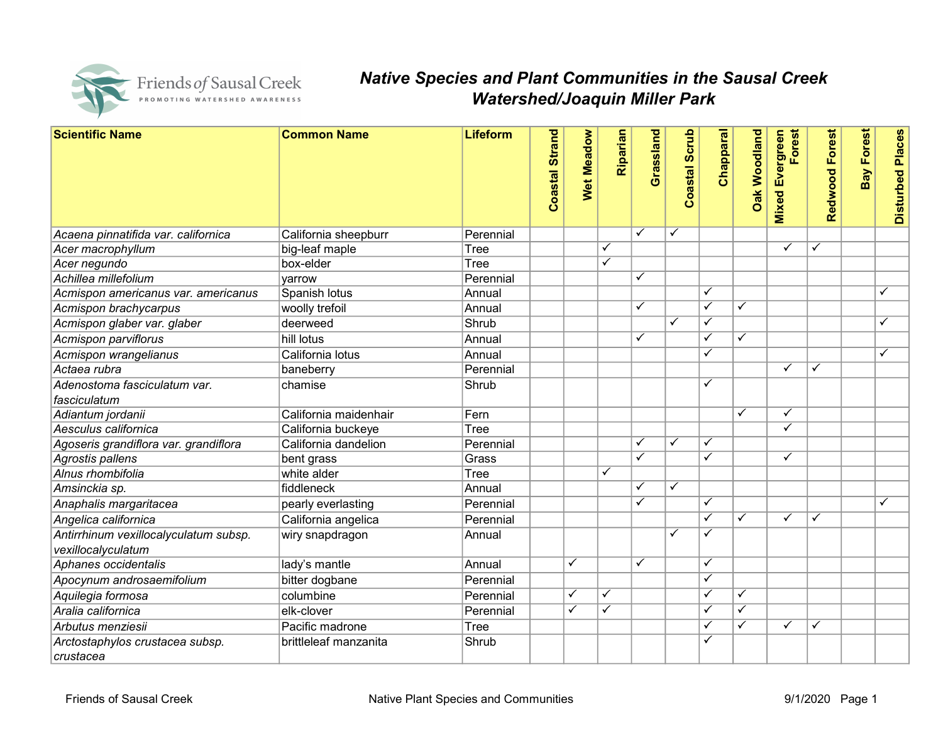

## Native Species and Plant Communities in the Sausal Creek Watershed/Joaquin Miller Park

| <b>Scientific Name</b>                | <b>Common Name</b>    | <b>Lifeform</b> |                |                         |                         |                         |                         |                         |                         |                           |                |                   |                         |  |
|---------------------------------------|-----------------------|-----------------|----------------|-------------------------|-------------------------|-------------------------|-------------------------|-------------------------|-------------------------|---------------------------|----------------|-------------------|-------------------------|--|
|                                       |                       |                 | Coastal Strand | <b>Wet Meadow</b>       | Riparian                | Grassland               | Coastal Scrub           | Chapparal               | <b>Dak Woodland</b>     | Mixed Evergreen<br>Forest | Redwood Forest | <b>Bay Forest</b> | <b>Disturbed Places</b> |  |
|                                       |                       |                 |                |                         |                         |                         |                         |                         |                         |                           |                |                   |                         |  |
|                                       |                       |                 |                |                         |                         |                         |                         |                         |                         |                           |                |                   |                         |  |
|                                       |                       |                 |                |                         |                         |                         |                         |                         |                         |                           |                |                   |                         |  |
| Acaena pinnatifida var. californica   | California sheepburr  | Perennial       |                |                         |                         | ✓                       | ✓                       |                         |                         |                           |                |                   |                         |  |
| Acer macrophyllum                     | big-leaf maple        | Tree            |                |                         | $\checkmark$            |                         |                         |                         |                         | $\checkmark$              | ✓              |                   |                         |  |
| Acer negundo                          | box-elder             | <b>Tree</b>     |                |                         | $\checkmark$            |                         |                         |                         |                         |                           |                |                   |                         |  |
| Achillea millefolium                  | yarrow                | Perennial       |                |                         |                         | ✓                       |                         |                         |                         |                           |                |                   |                         |  |
| Acmispon americanus var. americanus   | Spanish lotus         | Annual          |                |                         |                         |                         |                         | ✓                       |                         |                           |                |                   | ✓                       |  |
| Acmispon brachycarpus                 | woolly trefoil        | Annual          |                |                         |                         | $\overline{\checkmark}$ |                         | $\overline{\checkmark}$ | $\overline{\checkmark}$ |                           |                |                   |                         |  |
| Acmispon glaber var. glaber           | deerweed              | Shrub           |                |                         |                         |                         | ✓                       | $\overline{\checkmark}$ |                         |                           |                |                   | ✓                       |  |
| Acmispon parviflorus                  | hill lotus            | Annual          |                |                         |                         | ✓                       |                         | ✓                       | ✓                       |                           |                |                   |                         |  |
| Acmispon wrangelianus                 | California lotus      | Annual          |                |                         |                         |                         |                         | ✓                       |                         |                           |                |                   | $\overline{\checkmark}$ |  |
| Actaea rubra                          | baneberry             | Perennial       |                |                         |                         |                         |                         |                         |                         | $\checkmark$              | ✓              |                   |                         |  |
| Adenostoma fasciculatum var.          | chamise               | Shrub           |                |                         |                         |                         |                         | ✓                       |                         |                           |                |                   |                         |  |
| fasciculatum                          |                       |                 |                |                         |                         |                         |                         |                         |                         |                           |                |                   |                         |  |
| Adiantum jordanii                     | California maidenhair | Fern            |                |                         |                         |                         |                         |                         | ✓                       | $\checkmark$              |                |                   |                         |  |
| Aesculus californica                  | California buckeye    | Tree            |                |                         |                         |                         |                         |                         |                         | ✓                         |                |                   |                         |  |
| Agoseris grandiflora var. grandiflora | California dandelion  | Perennial       |                |                         |                         | $\checkmark$            | ✓                       | $\checkmark$            |                         |                           |                |                   |                         |  |
| Agrostis pallens                      | bent grass            | Grass           |                |                         |                         | ✓                       |                         | $\checkmark$            |                         | $\checkmark$              |                |                   |                         |  |
| Alnus rhombifolia                     | white alder           | Tree            |                |                         | $\checkmark$            |                         |                         |                         |                         |                           |                |                   |                         |  |
| Amsinckia sp.                         | fiddleneck            | Annual          |                |                         |                         | ✓                       | $\overline{\checkmark}$ |                         |                         |                           |                |                   |                         |  |
| Anaphalis margaritacea                | pearly everlasting    | Perennial       |                |                         |                         | ✓                       |                         | ✓                       |                         |                           |                |                   | ✓                       |  |
| Angelica californica                  | California angelica   | Perennial       |                |                         |                         |                         |                         | ✓                       | ✓                       | ✓                         | ✓              |                   |                         |  |
| Antirrhinum vexillocalyculatum subsp. | wiry snapdragon       | Annual          |                |                         |                         |                         | $\checkmark$            | ✓                       |                         |                           |                |                   |                         |  |
| vexillocalyculatum                    |                       |                 |                |                         |                         |                         |                         |                         |                         |                           |                |                   |                         |  |
| Aphanes occidentalis                  | lady's mantle         | Annual          |                | $\overline{\checkmark}$ |                         | ✓                       |                         | ✓                       |                         |                           |                |                   |                         |  |
| Apocynum androsaemifolium             | bitter dogbane        | Perennial       |                |                         |                         |                         |                         | ✓                       |                         |                           |                |                   |                         |  |
| Aquilegia formosa                     | columbine             | Perennial       |                | ✓                       | $\checkmark$            |                         |                         | ✓                       | $\checkmark$            |                           |                |                   |                         |  |
| Aralia californica                    | elk-clover            | Perennial       |                | $\overline{\checkmark}$ | $\overline{\checkmark}$ |                         |                         | $\overline{\checkmark}$ | $\overline{\checkmark}$ |                           |                |                   |                         |  |
| Arbutus menziesii                     | Pacific madrone       | <b>Tree</b>     |                |                         |                         |                         |                         | ✓                       |                         | $\checkmark$              | ✓              |                   |                         |  |
| Arctostaphylos crustacea subsp.       | brittleleaf manzanita | Shrub           |                |                         |                         |                         |                         | $\checkmark$            |                         |                           |                |                   |                         |  |
| crustacea                             |                       |                 |                |                         |                         |                         |                         |                         |                         |                           |                |                   |                         |  |
|                                       |                       |                 |                |                         |                         |                         |                         |                         |                         |                           |                |                   |                         |  |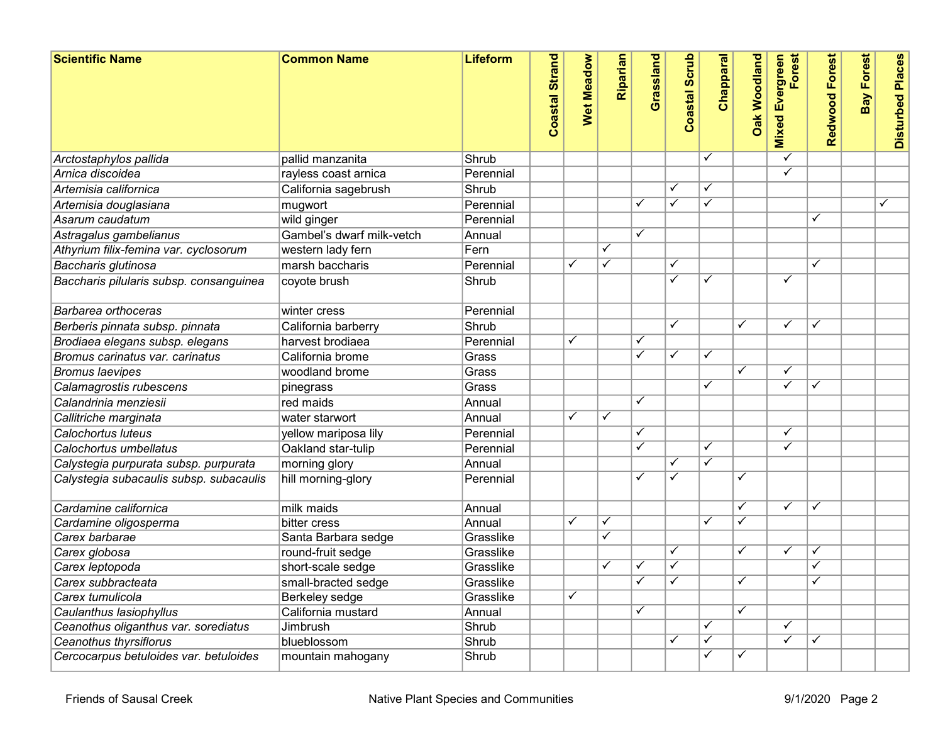| <b>Scientific Name</b>                  | <b>Common Name</b>        | <b>Lifeform</b> | <b>Coastal Strand</b> | <b>Wet Meadow</b>       | Riparian                | Grassland               | <b>Coastal Scrub</b>     | Chapparal               | <b>Oak Woodland</b>     | <b>Mixed Evergreen</b><br>Forest | Redwood Forest | <b>Bay Forest</b> | <b>Disturbed Places</b> |
|-----------------------------------------|---------------------------|-----------------|-----------------------|-------------------------|-------------------------|-------------------------|--------------------------|-------------------------|-------------------------|----------------------------------|----------------|-------------------|-------------------------|
| Arctostaphylos pallida                  | pallid manzanita          | Shrub           |                       |                         |                         |                         |                          |                         |                         | ✓                                |                |                   |                         |
| Arnica discoidea                        | rayless coast arnica      | Perennial       |                       |                         |                         |                         |                          |                         |                         | $\checkmark$                     |                |                   |                         |
| Artemisia californica                   | California sagebrush      | Shrub           |                       |                         |                         |                         | ✓                        | $\checkmark$            |                         |                                  |                |                   |                         |
| Artemisia douglasiana                   | mugwort                   | Perennial       |                       |                         |                         | $\checkmark$            | $\checkmark$             | $\overline{\checkmark}$ |                         |                                  |                |                   | ✓                       |
| Asarum caudatum                         | wild ginger               | Perennial       |                       |                         |                         |                         |                          |                         |                         |                                  | ✓              |                   |                         |
| Astragalus gambelianus                  | Gambel's dwarf milk-vetch | Annual          |                       |                         |                         | $\checkmark$            |                          |                         |                         |                                  |                |                   |                         |
| Athyrium filix-femina var. cyclosorum   | western lady fern         | Fern            |                       |                         | $\checkmark$            |                         |                          |                         |                         |                                  |                |                   |                         |
| Baccharis glutinosa                     | marsh baccharis           | Perennial       |                       | ✓                       | $\overline{\checkmark}$ |                         | ✓                        |                         |                         |                                  | ✓              |                   |                         |
| Baccharis pilularis subsp. consanguinea | coyote brush              | Shrub           |                       |                         |                         |                         | $\overline{\checkmark}$  | $\overline{\checkmark}$ |                         | $\overline{\checkmark}$          |                |                   |                         |
| Barbarea orthoceras                     | winter cress              | Perennial       |                       |                         |                         |                         |                          |                         |                         |                                  |                |                   |                         |
| Berberis pinnata subsp. pinnata         | California barberry       | Shrub           |                       |                         |                         |                         | ✓                        |                         | ✓                       | ✓                                | ✓              |                   |                         |
| Brodiaea elegans subsp. elegans         | harvest brodiaea          | Perennial       |                       | $\checkmark$            |                         | ✓                       |                          |                         |                         |                                  |                |                   |                         |
| Bromus carinatus var. carinatus         | California brome          | Grass           |                       |                         |                         | $\checkmark$            | $\checkmark$             | $\overline{\checkmark}$ |                         |                                  |                |                   |                         |
| <b>Bromus laevipes</b>                  | woodland brome            | Grass           |                       |                         |                         |                         |                          |                         | $\checkmark$            | ✓                                |                |                   |                         |
| Calamagrostis rubescens                 | pinegrass                 | Grass           |                       |                         |                         |                         |                          | $\overline{\checkmark}$ |                         | ✓                                | ✓              |                   |                         |
| Calandrinia menziesii                   | red maids                 | Annual          |                       |                         |                         | $\overline{\checkmark}$ |                          |                         |                         |                                  |                |                   |                         |
| Callitriche marginata                   | water starwort            | Annual          |                       | ✓                       | $\checkmark$            |                         |                          |                         |                         |                                  |                |                   |                         |
| Calochortus luteus                      | yellow mariposa lily      | Perennial       |                       |                         |                         | ✓                       |                          |                         |                         | ✓                                |                |                   |                         |
| Calochortus umbellatus                  | Oakland star-tulip        | Perennial       |                       |                         |                         | $\overline{\checkmark}$ |                          | $\overline{\checkmark}$ |                         | ✓                                |                |                   |                         |
| Calystegia purpurata subsp. purpurata   | morning glory             | Annual          |                       |                         |                         |                         | $\checkmark$             | $\overline{\checkmark}$ |                         |                                  |                |                   |                         |
| Calystegia subacaulis subsp. subacaulis | hill morning-glory        | Perennial       |                       |                         |                         | ✓                       | $\overline{\checkmark}$  |                         | ✓                       |                                  |                |                   |                         |
| Cardamine californica                   | milk maids                | Annual          |                       |                         |                         |                         |                          |                         | ✓                       | ✓                                | ✓              |                   |                         |
| Cardamine oligosperma                   | bitter cress              | Annual          |                       | $\overline{\checkmark}$ | $\overline{\checkmark}$ |                         |                          | $\overline{\checkmark}$ | $\overline{\checkmark}$ |                                  |                |                   |                         |
| Carex barbarae                          | Santa Barbara sedge       | Grasslike       |                       |                         | $\overline{\checkmark}$ |                         |                          |                         |                         |                                  |                |                   |                         |
| Carex globosa                           | round-fruit sedge         | Grasslike       |                       |                         |                         |                         | ✓                        |                         | $\checkmark$            | ✓                                | ✓              |                   |                         |
| Carex leptopoda                         | short-scale sedge         | Grasslike       |                       |                         | ✓                       | $\checkmark$            | ✓                        |                         |                         |                                  | ✓              |                   |                         |
| Carex subbracteata                      | small-bracted sedge       | Grasslike       |                       |                         |                         | $\checkmark$            | $\overline{\phantom{a}}$ |                         | $\checkmark$            |                                  |                |                   |                         |
| Carex tumulicola                        | Berkeley sedge            | Grasslike       |                       | ✓                       |                         |                         |                          |                         |                         |                                  |                |                   |                         |
| Caulanthus lasiophyllus                 | California mustard        | Annual          |                       |                         |                         | $\overline{\checkmark}$ |                          |                         | $\overline{\checkmark}$ |                                  |                |                   |                         |
| Ceanothus oliganthus var. sorediatus    | Jimbrush                  | Shrub           |                       |                         |                         |                         |                          | $\overline{\checkmark}$ |                         | $\checkmark$                     |                |                   |                         |
| Ceanothus thyrsiflorus                  | blueblossom               | Shrub           |                       |                         |                         |                         | $\checkmark$             | ✓                       |                         | ✓                                | ✓              |                   |                         |
| Cercocarpus betuloides var. betuloides  | mountain mahogany         | Shrub           |                       |                         |                         |                         |                          | $\overline{\checkmark}$ | $\checkmark$            |                                  |                |                   |                         |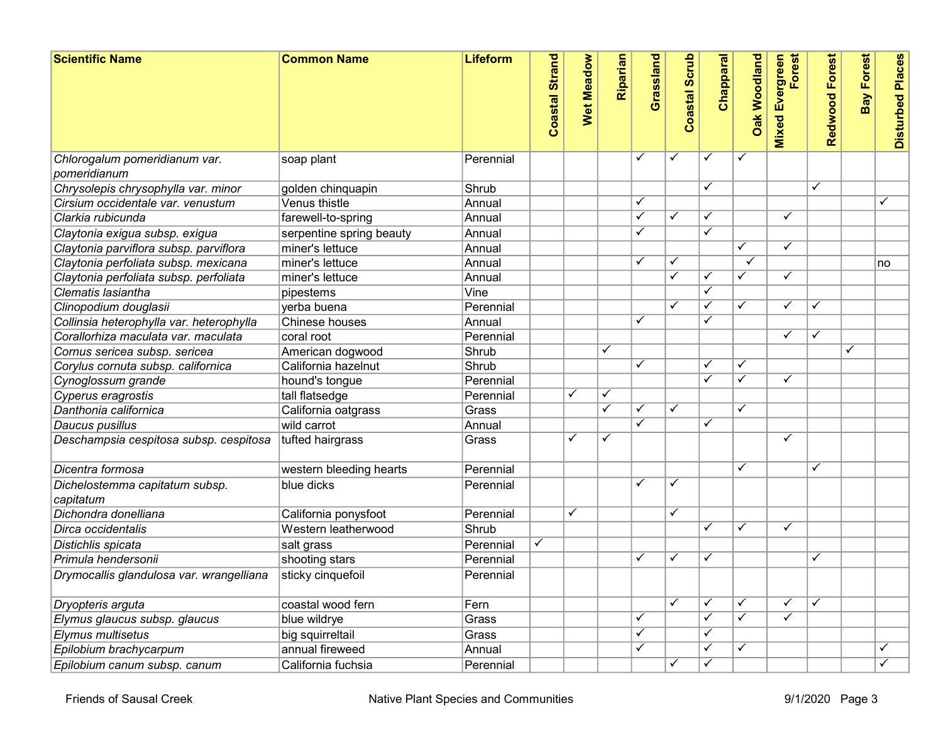| <b>Scientific Name</b>                        | <b>Common Name</b>       | <b>Lifeform</b> | Coastal Strand | <b>Wet Meadow</b> | Riparian     | Grassland    | <b>Coastal Scrub</b> | Chapparal               | <b>Dak Woodland</b>     | <b>Mixed Evergreen</b><br>Forest | Redwood Forest | <b>Bay Forest</b> | <b>Disturbed Places</b> |
|-----------------------------------------------|--------------------------|-----------------|----------------|-------------------|--------------|--------------|----------------------|-------------------------|-------------------------|----------------------------------|----------------|-------------------|-------------------------|
| Chlorogalum pomeridianum var.<br>pomeridianum | soap plant               | Perennial       |                |                   |              | ✓            | ✓                    | ✓                       | $\checkmark$            |                                  |                |                   |                         |
| Chrysolepis chrysophylla var. minor           | golden chinquapin        | Shrub           |                |                   |              |              |                      | ✓                       |                         |                                  | ✓              |                   |                         |
| Cirsium occidentale var. venustum             | Venus thistle            | Annual          |                |                   |              | ✓            |                      |                         |                         |                                  |                |                   | ✓                       |
| Clarkia rubicunda                             | farewell-to-spring       | Annual          |                |                   |              | ✓            | ✓                    | $\checkmark$            |                         | ✓                                |                |                   |                         |
| Claytonia exigua subsp. exigua                | serpentine spring beauty | Annual          |                |                   |              | ✓            |                      | ✓                       |                         |                                  |                |                   |                         |
| Claytonia parviflora subsp. parviflora        | miner's lettuce          | Annual          |                |                   |              |              |                      |                         | ✓                       | ✓                                |                |                   |                         |
| Claytonia perfoliata subsp. mexicana          | miner's lettuce          | Annual          |                |                   |              | ✓            |                      |                         | $\checkmark$            |                                  |                |                   | no                      |
| Claytonia perfoliata subsp. perfoliata        | miner's lettuce          | Annual          |                |                   |              |              | $\checkmark$         | ✓                       | $\checkmark$            | $\checkmark$                     |                |                   |                         |
| Clematis lasiantha                            | pipestems                | Vine            |                |                   |              |              |                      | $\overline{\checkmark}$ |                         |                                  |                |                   |                         |
| Clinopodium douglasii                         | verba buena              | Perennial       |                |                   |              |              | ✓                    | $\overline{\checkmark}$ | $\checkmark$            | ✓                                | ✓              |                   |                         |
| Collinsia heterophylla var. heterophylla      | Chinese houses           | Annual          |                |                   |              | ✓            |                      | ✓                       |                         |                                  |                |                   |                         |
| Corallorhiza maculata var. maculata           | coral root               | Perennial       |                |                   |              |              |                      |                         |                         | ✓                                | ✓              |                   |                         |
| Cornus sericea subsp. sericea                 | American dogwood         | Shrub           |                |                   | ✓            |              |                      |                         |                         |                                  |                | $\checkmark$      |                         |
| Corylus cornuta subsp. californica            | California hazelnut      | Shrub           |                |                   |              | ✓            |                      | ✓                       | ✓                       |                                  |                |                   |                         |
| Cynoglossum grande                            | hound's tongue           | Perennial       |                |                   |              |              |                      | ✓                       | ✓                       | ✓                                |                |                   |                         |
| Cyperus eragrostis                            | tall flatsedge           | Perennial       |                | ✓                 | $\checkmark$ |              |                      |                         |                         |                                  |                |                   |                         |
| Danthonia californica                         | California oatgrass      | Grass           |                |                   | $\checkmark$ | ✓            | $\checkmark$         |                         | $\overline{\checkmark}$ |                                  |                |                   |                         |
| Daucus pusillus                               | wild carrot              | Annual          |                |                   |              | ✓            |                      | ✓                       |                         |                                  |                |                   |                         |
| Deschampsia cespitosa subsp. cespitosa        | tufted hairgrass         | Grass           |                | ✓                 | $\checkmark$ |              |                      |                         |                         | ✓                                |                |                   |                         |
| Dicentra formosa                              | western bleeding hearts  | Perennial       |                |                   |              |              |                      |                         | ✓                       |                                  | ✓              |                   |                         |
| Dichelostemma capitatum subsp.<br>capitatum   | blue dicks               | Perennial       |                |                   |              | $\checkmark$ | √                    |                         |                         |                                  |                |                   |                         |
| Dichondra donelliana                          | California ponysfoot     | Perennial       |                | $\checkmark$      |              |              | ✓                    |                         |                         |                                  |                |                   |                         |
| Dirca occidentalis                            | Western leatherwood      | Shrub           |                |                   |              |              |                      | ✓                       | $\checkmark$            | ✓                                |                |                   |                         |
| Distichlis spicata                            | salt grass               | Perennial       | $\checkmark$   |                   |              |              |                      |                         |                         |                                  |                |                   |                         |
| Primula hendersonii                           | shooting stars           | Perennial       |                |                   |              | ✓            |                      | ✓                       |                         |                                  | ✓              |                   |                         |
| Drymocallis glandulosa var. wrangelliana      | sticky cinquefoil        | Perennial       |                |                   |              |              |                      |                         |                         |                                  |                |                   |                         |
| Dryopteris arguta                             | coastal wood fern        | Fern            |                |                   |              |              | $\checkmark$         | $\checkmark$            | $\checkmark$            | ✓                                | $\checkmark$   |                   |                         |
| Elymus glaucus subsp. glaucus                 | blue wildrye             | Grass           |                |                   |              | $\checkmark$ |                      | $\checkmark$            | $\checkmark$            | $\checkmark$                     |                |                   |                         |
| Elymus multisetus                             | big squirreltail         | Grass           |                |                   |              | $\checkmark$ |                      | $\checkmark$            |                         |                                  |                |                   |                         |
| Epilobium brachycarpum                        | annual fireweed          | Annual          |                |                   |              | $\checkmark$ |                      | $\checkmark$            | $\checkmark$            |                                  |                |                   | $\checkmark$            |
| Epilobium canum subsp. canum                  | California fuchsia       | Perennial       |                |                   |              |              | ✓                    | $\checkmark$            |                         |                                  |                |                   | $\overline{\checkmark}$ |
|                                               |                          |                 |                |                   |              |              |                      |                         |                         |                                  |                |                   |                         |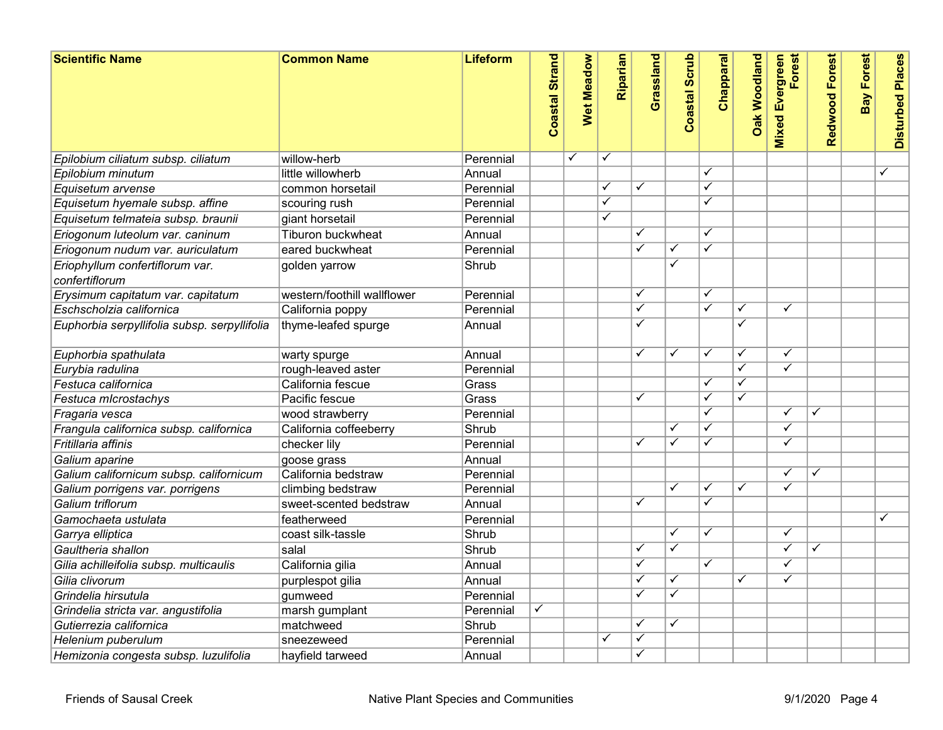| <b>Scientific Name</b>                            | <b>Common Name</b>                       | Lifeform  | <b>Coastal Strand</b> | Wet Meadow   | Riparian                | Grassland    | <b>Coastal Scrub</b>    | Chapparal               | <b>Oak Woodland</b>     | Forest<br><b>Mixed Evergreen</b> | Redwood Forest          | <b>Bay Forest</b> | <b>Disturbed Places</b> |
|---------------------------------------------------|------------------------------------------|-----------|-----------------------|--------------|-------------------------|--------------|-------------------------|-------------------------|-------------------------|----------------------------------|-------------------------|-------------------|-------------------------|
| Epilobium ciliatum subsp. ciliatum                | willow-herb                              | Perennial |                       | $\checkmark$ | ✓                       |              |                         |                         |                         |                                  |                         |                   |                         |
| Epilobium minutum                                 | little willowherb                        | Annual    |                       |              |                         |              |                         | $\overline{\checkmark}$ |                         |                                  |                         |                   | $\checkmark$            |
| Equisetum arvense                                 | common horsetail                         | Perennial |                       |              | $\checkmark$            | $\checkmark$ |                         | $\overline{\checkmark}$ |                         |                                  |                         |                   |                         |
| Equisetum hyemale subsp. affine                   | scouring rush                            | Perennial |                       |              | $\overline{\checkmark}$ |              |                         | ✓                       |                         |                                  |                         |                   |                         |
| Equisetum telmateia subsp. braunii                | giant horsetail                          | Perennial |                       |              | $\overline{\checkmark}$ |              |                         |                         |                         |                                  |                         |                   |                         |
| Eriogonum luteolum var. caninum                   | Tiburon buckwheat                        | Annual    |                       |              |                         | ✓            |                         | $\overline{\checkmark}$ |                         |                                  |                         |                   |                         |
| Eriogonum nudum var. auriculatum                  | eared buckwheat                          | Perennial |                       |              |                         | $\checkmark$ | ✓                       | $\overline{\checkmark}$ |                         |                                  |                         |                   |                         |
| Eriophyllum confertiflorum var.<br>confertiflorum | golden yarrow                            | Shrub     |                       |              |                         |              | $\overline{\checkmark}$ |                         |                         |                                  |                         |                   |                         |
| Erysimum capitatum var. capitatum                 | western/foothill wallflower              | Perennial |                       |              |                         | $\checkmark$ |                         | $\checkmark$            |                         |                                  |                         |                   |                         |
| Eschscholzia californica                          | California poppy                         | Perennial |                       |              |                         | ✓            |                         | $\overline{\checkmark}$ | $\overline{\checkmark}$ | ✓                                |                         |                   |                         |
| Euphorbia serpyllifolia subsp. serpyllifolia      | thyme-leafed spurge                      | Annual    |                       |              |                         | ✓            |                         |                         | ✓                       |                                  |                         |                   |                         |
| Euphorbia spathulata                              | warty spurge                             | Annual    |                       |              |                         | ✓            | ✓                       | ✓                       | ✓                       | ✓                                |                         |                   |                         |
| Eurybia radulina                                  | rough-leaved aster                       | Perennial |                       |              |                         |              |                         |                         | $\overline{\checkmark}$ | $\overline{\checkmark}$          |                         |                   |                         |
| Festuca californica                               | California fescue                        | Grass     |                       |              |                         |              |                         | $\overline{\checkmark}$ | ✓                       |                                  |                         |                   |                         |
| Festuca microstachys                              | Pacific fescue                           | Grass     |                       |              |                         | $\checkmark$ |                         | $\overline{\checkmark}$ | $\checkmark$            |                                  |                         |                   |                         |
| Fragaria vesca                                    | wood strawberry                          | Perennial |                       |              |                         |              |                         | $\checkmark$            |                         | $\checkmark$                     | ✓                       |                   |                         |
| Frangula californica subsp. californica           | California coffeeberry                   | Shrub     |                       |              |                         |              |                         |                         |                         | ✓                                |                         |                   |                         |
| Fritillaria affinis                               | checker lily                             | Perennial |                       |              |                         | $\checkmark$ | ✓                       | $\overline{\checkmark}$ |                         | $\checkmark$                     |                         |                   |                         |
| Galium aparine                                    | goose grass                              | Annual    |                       |              |                         |              |                         |                         |                         |                                  |                         |                   |                         |
| Galium californicum subsp. californicum           | California bedstraw                      | Perennial |                       |              |                         |              |                         |                         |                         | $\checkmark$                     | ✓                       |                   |                         |
| Galium porrigens var. porrigens                   | climbing bedstraw                        | Perennial |                       |              |                         |              | ✓                       | ✓                       | ✓                       | $\overline{\checkmark}$          |                         |                   |                         |
| Galium triflorum                                  | $ {\sf sweet\text{-}scented\,bedstraw} $ | Annual    |                       |              |                         | $\checkmark$ |                         | $\overline{\checkmark}$ |                         |                                  |                         |                   |                         |
| Gamochaeta ustulata                               | featherweed                              | Perennial |                       |              |                         |              |                         |                         |                         |                                  |                         |                   | ✓                       |
| Garrya elliptica                                  | coast silk-tassle                        | Shrub     |                       |              |                         |              | ✓                       | $\overline{\checkmark}$ |                         | $\overline{\checkmark}$          |                         |                   |                         |
| Gaultheria shallon                                | salal                                    | Shrub     |                       |              |                         | $\checkmark$ | ✓                       |                         |                         | $\checkmark$                     | $\overline{\checkmark}$ |                   |                         |
| Gilia achilleifolia subsp. multicaulis            | California gilia                         | Annual    |                       |              |                         | $\checkmark$ |                         | $\overline{\checkmark}$ |                         | $\checkmark$                     |                         |                   |                         |
| Gilia clivorum                                    | purplespot gilia                         | Annual    |                       |              |                         | $\checkmark$ | ✓                       |                         | $\checkmark$            | ✓                                |                         |                   |                         |
| Grindelia hirsutula                               | gumweed                                  | Perennial |                       |              |                         | $\checkmark$ | $\overline{\checkmark}$ |                         |                         |                                  |                         |                   |                         |
| Grindelia stricta var. angustifolia               | marsh gumplant                           | Perennial | $\checkmark$          |              |                         |              |                         |                         |                         |                                  |                         |                   |                         |
| Gutierrezia californica                           | matchweed                                | Shrub     |                       |              |                         | ✓            | ✓                       |                         |                         |                                  |                         |                   |                         |
| Helenium puberulum                                | sneezeweed                               | Perennial |                       |              | ✓                       | $\checkmark$ |                         |                         |                         |                                  |                         |                   |                         |
| Hemizonia congesta subsp. luzulifolia             | hayfield tarweed                         | Annual    |                       |              |                         | ✓            |                         |                         |                         |                                  |                         |                   |                         |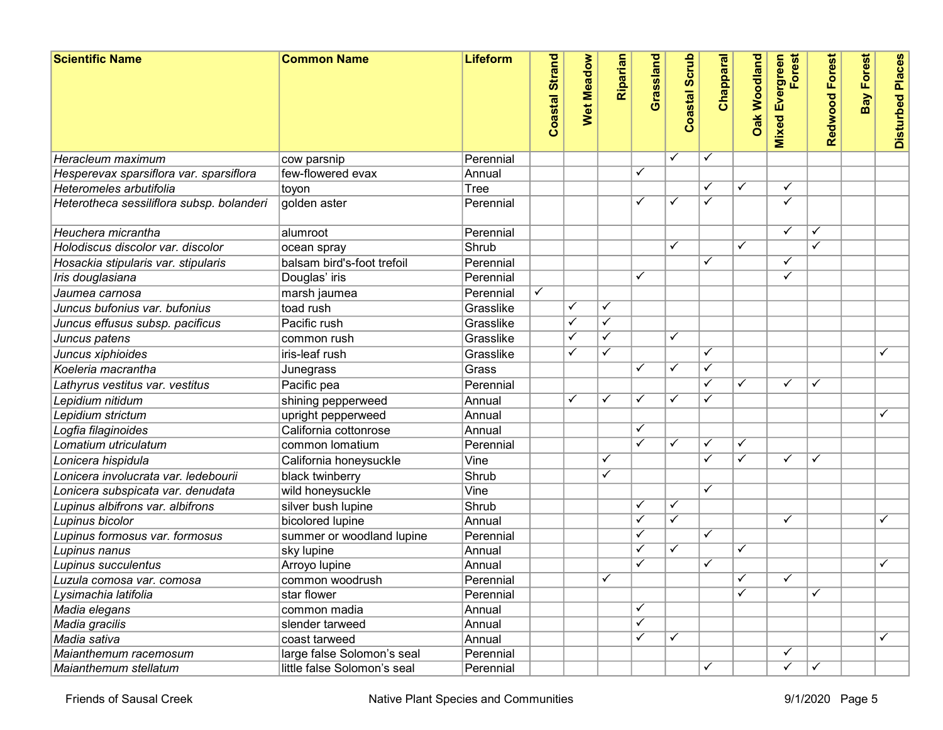| <b>Scientific Name</b>                    | <b>Common Name</b>          | <b>Lifeform</b> | <b>Strand</b><br>Coastal | Wet Meadow | Riparian                | Grassland    | oastal Scrub<br>Õ | <b>Chapparal</b>        | <b>Oak Woodland</b>     | Forest<br><b>Mixed Evergreen</b> | Redwood Forest | <b>Bay Forest</b> | <b>Disturbed Places</b> |
|-------------------------------------------|-----------------------------|-----------------|--------------------------|------------|-------------------------|--------------|-------------------|-------------------------|-------------------------|----------------------------------|----------------|-------------------|-------------------------|
| Heracleum maximum                         | cow parsnip                 | Perennial       |                          |            |                         |              | √                 | $\checkmark$            |                         |                                  |                |                   |                         |
| Hesperevax sparsiflora var. sparsiflora   | few-flowered evax           | Annual          |                          |            |                         | $\checkmark$ |                   |                         |                         |                                  |                |                   |                         |
| Heteromeles arbutifolia                   | toyon                       | Tree            |                          |            |                         |              |                   |                         | ✓                       | ✓                                |                |                   |                         |
| Heterotheca sessiliflora subsp. bolanderi | golden aster                | Perennial       |                          |            |                         | ✓            | √                 | $\blacktriangledown$    |                         | ✓                                |                |                   |                         |
| Heuchera micrantha                        | alumroot                    | Perennial       |                          |            |                         |              |                   |                         |                         | $\checkmark$                     |                |                   |                         |
| Holodiscus discolor var. discolor         | ocean spray                 | Shrub           |                          |            |                         |              | ✓                 |                         | $\checkmark$            |                                  |                |                   |                         |
| Hosackia stipularis var. stipularis       | balsam bird's-foot trefoil  | Perennial       |                          |            |                         |              |                   | ✓                       |                         | ✓                                |                |                   |                         |
| Iris douglasiana                          | Douglas' iris               | Perennial       |                          |            |                         | ✓            |                   |                         |                         | ✓                                |                |                   |                         |
| Jaumea carnosa                            | marsh jaumea                | Perennial       | ✓                        |            |                         |              |                   |                         |                         |                                  |                |                   |                         |
| Juncus bufonius var. bufonius             | toad rush                   | Grasslike       |                          | ✓          | $\checkmark$            |              |                   |                         |                         |                                  |                |                   |                         |
| Juncus effusus subsp. pacificus           | Pacific rush                | Grasslike       |                          | ✓          | ✓                       |              |                   |                         |                         |                                  |                |                   |                         |
| Juncus patens                             | common rush                 | Grasslike       |                          | ✓          | $\checkmark$            |              | ✓                 |                         |                         |                                  |                |                   |                         |
| Juncus xiphioides                         | iris-leaf rush              | Grasslike       |                          | ✓          | $\overline{\checkmark}$ |              |                   | ✓                       |                         |                                  |                |                   | ✓                       |
| Koeleria macrantha                        | Junegrass                   | Grass           |                          |            |                         | ✓            | √                 | ✓                       |                         |                                  |                |                   |                         |
| Lathyrus vestitus var. vestitus           | Pacific pea                 | Perennial       |                          |            |                         |              |                   | ✓                       | ✓                       | $\checkmark$                     | ✓              |                   |                         |
| Lepidium nitidum                          | shining pepperweed          | Annual          |                          | ✓          | $\checkmark$            | $\checkmark$ |                   | $\overline{\checkmark}$ |                         |                                  |                |                   |                         |
| Lepidium strictum                         | upright pepperweed          | Annual          |                          |            |                         |              |                   |                         |                         |                                  |                |                   | ✓                       |
| Logfia filaginoides                       | California cottonrose       | Annual          |                          |            |                         | ✓            |                   |                         |                         |                                  |                |                   |                         |
| Lomatium utriculatum                      | common lomatium             | Perennial       |                          |            |                         | ✓            | ✓                 | ✓                       | ✓                       |                                  |                |                   |                         |
| Lonicera hispidula                        | California honeysuckle      | Vine            |                          |            | $\checkmark$            |              |                   | ✓                       | ✓                       | ✓                                | ✓              |                   |                         |
| Lonicera involucrata var. ledebourii      | black twinberry             | Shrub           |                          |            | $\checkmark$            |              |                   |                         |                         |                                  |                |                   |                         |
| Lonicera subspicata var. denudata         | wild honeysuckle            | Vine            |                          |            |                         |              |                   | ✓                       |                         |                                  |                |                   |                         |
| Lupinus albifrons var. albifrons          | silver bush lupine          | Shrub           |                          |            |                         | ✓            | ✓                 |                         |                         |                                  |                |                   |                         |
| Lupinus bicolor                           | bicolored lupine            | Annual          |                          |            |                         | $\checkmark$ | $\checkmark$      |                         |                         | $\checkmark$                     |                |                   | ✓                       |
| Lupinus formosus var. formosus            | summer or woodland lupine   | Perennial       |                          |            |                         | $\checkmark$ |                   | $\overline{\checkmark}$ |                         |                                  |                |                   |                         |
| Lupinus nanus                             | sky lupine                  | Annual          |                          |            |                         | ✓            | $\checkmark$      |                         | $\overline{\checkmark}$ |                                  |                |                   |                         |
| Lupinus succulentus                       | Arroyo lupine               | Annual          |                          |            |                         | ✓            |                   | ✓                       |                         |                                  |                |                   | ✓                       |
| Luzula comosa var. comosa                 | common woodrush             | Perennial       |                          |            |                         |              |                   |                         | ✓                       | ✓                                |                |                   |                         |
| Lysimachia latifolia                      | star flower                 | Perennial       |                          |            |                         |              |                   |                         | ✓                       |                                  | ✓              |                   |                         |
| Madia elegans                             | common madia                | Annual          |                          |            |                         | ✓            |                   |                         |                         |                                  |                |                   |                         |
| Madia gracilis                            | slender tarweed             | Annual          |                          |            |                         | $\checkmark$ |                   |                         |                         |                                  |                |                   |                         |
| Madia sativa                              | coast tarweed               | Annual          |                          |            |                         | ✓            | ✓                 |                         |                         |                                  |                |                   | ✓                       |
| Maianthemum racemosum                     | large false Solomon's seal  | Perennial       |                          |            |                         |              |                   |                         |                         | ✓                                |                |                   |                         |
| Maianthemum stellatum                     | little false Solomon's seal | Perennial       |                          |            |                         |              |                   | ✓                       |                         | $\checkmark$                     | $\checkmark$   |                   |                         |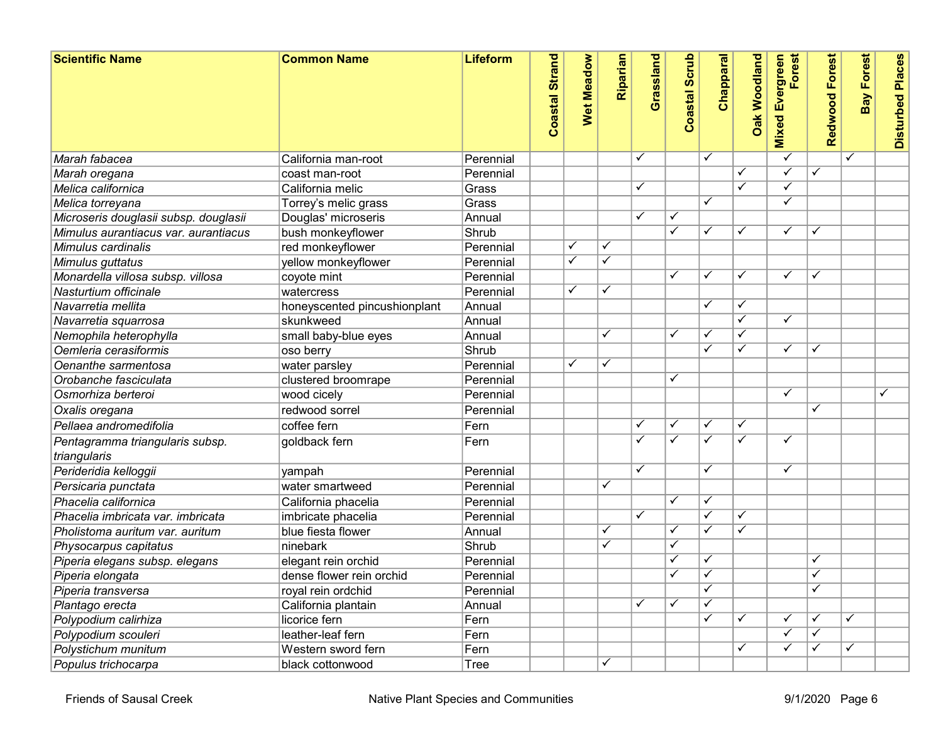| <b>Scientific Name</b>                          | <b>Common Name</b>           | Lifeform     | <b>Coastal Strand</b> | <b>Wet Meadow</b>       | Riparian                | Grassland               | <b>Coastal Scrub</b>    | Chapparal               | <b>Oak Woodland</b>     | Forest<br><b>Mixed Evergreen</b> | Redwood Forest          | <b>Bay Forest</b>       | <b>Disturbed Places</b> |  |
|-------------------------------------------------|------------------------------|--------------|-----------------------|-------------------------|-------------------------|-------------------------|-------------------------|-------------------------|-------------------------|----------------------------------|-------------------------|-------------------------|-------------------------|--|
| Marah fabacea                                   | California man-root          | Perennial    |                       |                         |                         | ✓                       |                         | ✓                       |                         |                                  |                         | $\overline{\checkmark}$ |                         |  |
| Marah oregana                                   | coast man-root               | Perennial    |                       |                         |                         |                         |                         |                         | $\checkmark$            | $\checkmark$                     | $\checkmark$            |                         |                         |  |
| Melica californica                              | California melic             | Grass        |                       |                         |                         | ✓                       |                         |                         | $\overline{\checkmark}$ | ✓                                |                         |                         |                         |  |
| Melica torreyana                                | Torrey's melic grass         | Grass        |                       |                         |                         |                         |                         | $\overline{\checkmark}$ |                         | $\checkmark$                     |                         |                         |                         |  |
| Microseris douglasii subsp. douglasii           | Douglas' microseris          | Annual       |                       |                         |                         | ✓                       |                         |                         |                         |                                  |                         |                         |                         |  |
| Mimulus aurantiacus var. aurantiacus            | bush monkeyflower            | Shrub        |                       |                         |                         |                         | $\checkmark$            | ✓                       | ✓                       | $\checkmark$                     | ✓                       |                         |                         |  |
| Mimulus cardinalis                              | red monkeyflower             | Perennial    |                       | ✓                       | $\overline{\checkmark}$ |                         |                         |                         |                         |                                  |                         |                         |                         |  |
| Mimulus guttatus                                | yellow monkeyflower          | Perennial    |                       | $\overline{\checkmark}$ | $\overline{\checkmark}$ |                         |                         |                         |                         |                                  |                         |                         |                         |  |
| Monardella villosa subsp. villosa               | coyote mint                  | Perennial    |                       |                         |                         |                         |                         | ✓                       | ✓                       | $\checkmark$                     | ✓                       |                         |                         |  |
| Nasturtium officinale                           | watercress                   | Perennial    |                       | $\checkmark$            | $\checkmark$            |                         |                         |                         |                         |                                  |                         |                         |                         |  |
| Navarretia mellita                              | honeyscented pincushionplant | Annual       |                       |                         |                         |                         |                         | $\overline{\checkmark}$ | $\checkmark$            |                                  |                         |                         |                         |  |
| Navarretia squarrosa                            | skunkweed                    | Annual       |                       |                         |                         |                         |                         |                         | $\overline{\checkmark}$ | ✓                                |                         |                         |                         |  |
| Nemophila heterophylla                          | small baby-blue eyes         | Annual       |                       |                         | $\checkmark$            |                         |                         | ✓                       | ✓                       |                                  |                         |                         |                         |  |
| Oemleria cerasiformis                           | oso berry                    | Shrub        |                       |                         |                         |                         |                         | ✓                       | $\checkmark$            | ✓                                | ✓                       |                         |                         |  |
| Oenanthe sarmentosa                             | water parsley                | Perennial    |                       | ✓                       | $\checkmark$            |                         |                         |                         |                         |                                  |                         |                         |                         |  |
| Orobanche fasciculata                           | clustered broomrape          | Perennial    |                       |                         |                         |                         | $\overline{\checkmark}$ |                         |                         |                                  |                         |                         |                         |  |
| Osmorhiza berteroi                              | wood cicely                  | Perennial    |                       |                         |                         |                         |                         |                         |                         | $\overline{\checkmark}$          |                         |                         | ✓                       |  |
| Oxalis oregana                                  | redwood sorrel               | Perennial    |                       |                         |                         |                         |                         |                         |                         |                                  | ✓                       |                         |                         |  |
| Pellaea andromedifolia                          | coffee fern                  | Fern         |                       |                         |                         | ✓                       |                         | ✓                       | ✓                       |                                  |                         |                         |                         |  |
| Pentagramma triangularis subsp.<br>triangularis | goldback fern                | Fern         |                       |                         |                         | $\checkmark$            | $\checkmark$            | $\overline{\checkmark}$ | $\checkmark$            | $\checkmark$                     |                         |                         |                         |  |
| Perideridia kelloggii                           | yampah                       | Perennial    |                       |                         |                         | $\overline{\checkmark}$ |                         | ✓                       |                         | $\checkmark$                     |                         |                         |                         |  |
| Persicaria punctata                             | water smartweed              | Perennial    |                       |                         | $\overline{\checkmark}$ |                         |                         |                         |                         |                                  |                         |                         |                         |  |
| Phacelia californica                            | California phacelia          | Perennial    |                       |                         |                         |                         | J                       | $\overline{\checkmark}$ |                         |                                  |                         |                         |                         |  |
| Phacelia imbricata var. imbricata               | imbricate phacelia           | Perennial    |                       |                         |                         | ✓                       |                         | $\overline{\checkmark}$ | $\checkmark$            |                                  |                         |                         |                         |  |
| Pholistoma auritum var. auritum                 | blue fiesta flower           | Annual       |                       |                         | $\checkmark$            |                         |                         | $\overline{\checkmark}$ | ✓                       |                                  |                         |                         |                         |  |
| Physocarpus capitatus                           | ninebark                     | Shrub        |                       |                         | $\overline{\checkmark}$ |                         | $\checkmark$            |                         |                         |                                  |                         |                         |                         |  |
| Piperia elegans subsp. elegans                  | elegant rein orchid          | Perennial    |                       |                         |                         |                         | $\checkmark$            | ✓                       |                         |                                  | ✓                       |                         |                         |  |
| Piperia elongata                                | dense flower rein orchid     | Perennial    |                       |                         |                         |                         |                         | ✓                       |                         |                                  | ✓                       |                         |                         |  |
| Piperia transversa                              | royal rein ordchid           | Perennial    |                       |                         |                         |                         |                         | $\overline{\checkmark}$ |                         |                                  | $\overline{\checkmark}$ |                         |                         |  |
|                                                 | California plantain          | Annual       |                       |                         |                         | ✓                       |                         |                         |                         |                                  |                         |                         |                         |  |
| Plantago erecta<br>Polypodium calirhiza         | licorice fern                | Fern         |                       |                         |                         |                         |                         | $\overline{\checkmark}$ | ✓                       | $\checkmark$                     | √                       | $\checkmark$            |                         |  |
|                                                 | leather-leaf fern            |              |                       |                         |                         |                         |                         |                         |                         | $\checkmark$                     |                         |                         |                         |  |
| Polypodium scouleri                             |                              | Fern<br>Fern |                       |                         |                         |                         |                         |                         | ✓                       | ✓                                | ✓                       | $\checkmark$            |                         |  |
| Polystichum munitum                             | Western sword fern           |              |                       |                         |                         |                         |                         |                         |                         |                                  |                         |                         |                         |  |
| Populus trichocarpa                             | black cottonwood             | <b>Tree</b>  |                       |                         |                         |                         |                         |                         |                         |                                  |                         |                         |                         |  |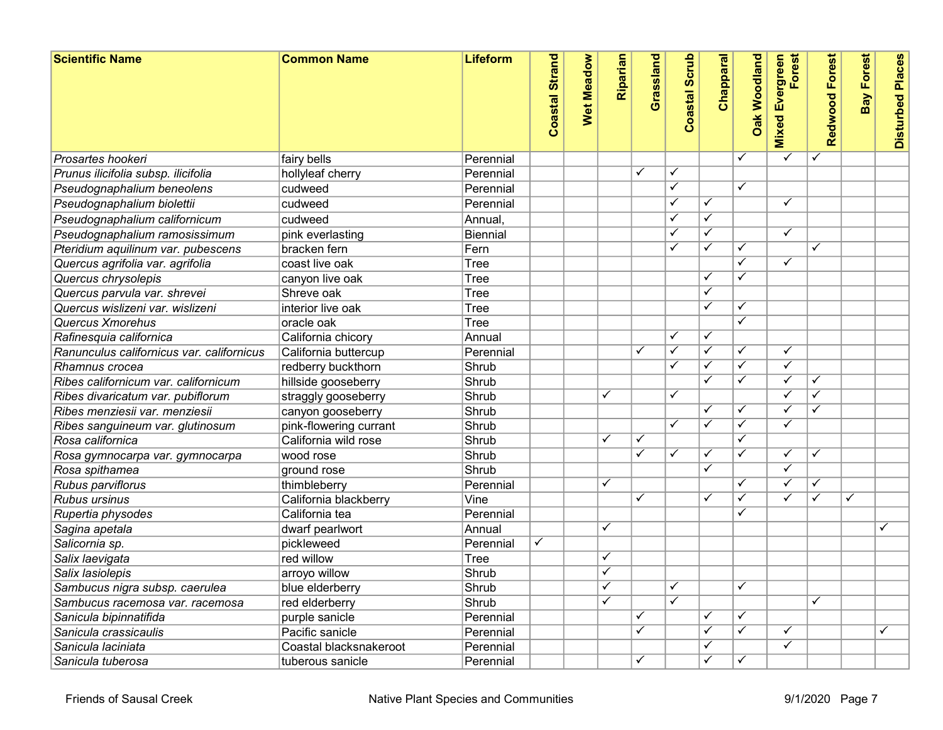| <b>Scientific Name</b>                    | <b>Common Name</b>     | Lifeform  | <b>Coastal Strand</b> | <b>Wet Meadow</b> | Riparian                | Grassland               | <b>Coastal Scrub</b>    | Chapparal               | <b>Oak Woodland</b>     | Forest<br><b>Mixed Evergreen</b> | Redwood Forest          | <b>Bay Forest</b> | <b>Disturbed Places</b> |
|-------------------------------------------|------------------------|-----------|-----------------------|-------------------|-------------------------|-------------------------|-------------------------|-------------------------|-------------------------|----------------------------------|-------------------------|-------------------|-------------------------|
| Prosartes hookeri                         | fairy bells            | Perennial |                       |                   |                         |                         |                         |                         | ✓                       | $\checkmark$                     | ✓                       |                   |                         |
| Prunus ilicifolia subsp. ilicifolia       | hollyleaf cherry       | Perennial |                       |                   |                         | $\checkmark$            | ✓                       |                         |                         |                                  |                         |                   |                         |
| Pseudognaphalium beneolens                | cudweed                | Perennial |                       |                   |                         |                         | ✓                       |                         | $\overline{\checkmark}$ |                                  |                         |                   |                         |
| Pseudognaphalium biolettii                | cudweed                | Perennial |                       |                   |                         |                         | ✓                       | ✓                       |                         | $\checkmark$                     |                         |                   |                         |
| Pseudognaphalium californicum             | cudweed                | Annual.   |                       |                   |                         |                         | ✓                       | $\overline{\checkmark}$ |                         |                                  |                         |                   |                         |
| Pseudognaphalium ramosissimum             | pink everlasting       | Biennial  |                       |                   |                         |                         | ✓                       | $\overline{\checkmark}$ |                         | $\checkmark$                     |                         |                   |                         |
| Pteridium aquilinum var. pubescens        | bracken fern           | Fern      |                       |                   |                         |                         | ✓                       | $\overline{\checkmark}$ | $\checkmark$            |                                  | ✓                       |                   |                         |
| Quercus agrifolia var. agrifolia          | coast live oak         | Tree      |                       |                   |                         |                         |                         |                         | $\checkmark$            | $\checkmark$                     |                         |                   |                         |
| Quercus chrysolepis                       | canyon live oak        | Tree      |                       |                   |                         |                         |                         | ✓                       | ✓                       |                                  |                         |                   |                         |
| Quercus parvula var. shrevei              | Shreve oak             | Tree      |                       |                   |                         |                         |                         | $\overline{\checkmark}$ |                         |                                  |                         |                   |                         |
| Quercus wislizeni var. wislizeni          | interior live oak      | Tree      |                       |                   |                         |                         |                         | ✓                       | √                       |                                  |                         |                   |                         |
| Quercus Xmorehus                          | oracle oak             | Tree      |                       |                   |                         |                         |                         |                         | $\overline{\checkmark}$ |                                  |                         |                   |                         |
| Rafinesquia californica                   | California chicory     | Annual    |                       |                   |                         |                         | ✓                       | $\overline{\checkmark}$ |                         |                                  |                         |                   |                         |
| Ranunculus californicus var. californicus | California buttercup   | Perennial |                       |                   |                         | $\overline{\checkmark}$ | $\overline{\checkmark}$ | $\overline{\checkmark}$ | $\overline{\checkmark}$ | ✓                                |                         |                   |                         |
| Rhamnus crocea                            | redberry buckthorn     | Shrub     |                       |                   |                         |                         | ✓                       | ✓                       | ✓                       | ✓                                |                         |                   |                         |
| Ribes californicum var. californicum      | hillside gooseberry    | Shrub     |                       |                   |                         |                         |                         | $\overline{\checkmark}$ | $\overline{\checkmark}$ | ✓                                | ✓                       |                   |                         |
| Ribes divaricatum var. pubiflorum         | straggly gooseberry    | Shrub     |                       |                   | ✓                       |                         | ✓                       |                         |                         | $\checkmark$                     | ✓                       |                   |                         |
| Ribes menziesii var. menziesii            | canyon gooseberry      | Shrub     |                       |                   |                         |                         |                         | $\overline{\checkmark}$ | $\overline{\checkmark}$ | ✓                                |                         |                   |                         |
| Ribes sanguineum var. glutinosum          | pink-flowering currant | Shrub     |                       |                   |                         |                         | ✓                       | $\overline{\checkmark}$ | ✓                       | $\overline{\checkmark}$          |                         |                   |                         |
| Rosa californica                          | California wild rose   | Shrub     |                       |                   |                         | $\checkmark$            |                         |                         | ✓                       |                                  |                         |                   |                         |
| Rosa gymnocarpa var. gymnocarpa           | wood rose              | Shrub     |                       |                   |                         | $\blacktriangledown$    | ✓                       | $\checkmark$            | ✓                       | $\overline{\checkmark}$          | $\checkmark$            |                   |                         |
| Rosa spithamea                            | ground rose            | Shrub     |                       |                   |                         |                         |                         | $\overline{\checkmark}$ |                         | $\overline{\checkmark}$          |                         |                   |                         |
| Rubus parviflorus                         | thimbleberry           | Perennial |                       |                   | $\overline{\checkmark}$ |                         |                         |                         | $\checkmark$            | ✓                                | ✓                       |                   |                         |
| Rubus ursinus                             | California blackberry  | Vine      |                       |                   |                         | ✓                       |                         | ✓                       | ✓                       | ✓                                | ✓                       | $\checkmark$      |                         |
| Rupertia physodes                         | California tea         | Perennial |                       |                   |                         |                         |                         |                         | $\checkmark$            |                                  |                         |                   |                         |
| Sagina apetala                            | dwarf pearlwort        | Annual    |                       |                   | ✓                       |                         |                         |                         |                         |                                  |                         |                   | ✓                       |
| Salicornia sp.                            | pickleweed             | Perennial | $\checkmark$          |                   |                         |                         |                         |                         |                         |                                  |                         |                   |                         |
| Salix laevigata                           | red willow             | Tree      |                       |                   | $\checkmark$            |                         |                         |                         |                         |                                  |                         |                   |                         |
| Salix lasiolepis                          | arroyo willow          | Shrub     |                       |                   | $\checkmark$            |                         |                         |                         |                         |                                  |                         |                   |                         |
| Sambucus nigra subsp. caerulea            | blue elderberry        | Shrub     |                       |                   | $\checkmark$            |                         | ✓                       |                         | $\checkmark$            |                                  |                         |                   |                         |
| Sambucus racemosa var. racemosa           | red elderberry         | Shrub     |                       |                   |                         |                         | $\overline{\checkmark}$ |                         |                         |                                  | $\overline{\checkmark}$ |                   |                         |
| Sanicula bipinnatifida                    | purple sanicle         | Perennial |                       |                   |                         | $\checkmark$            |                         | ✓                       | ✓                       |                                  |                         |                   |                         |
| Sanicula crassicaulis                     | Pacific sanicle        | Perennial |                       |                   |                         | ✓                       |                         | $\checkmark$            | ✓                       | $\checkmark$                     |                         |                   | ✓                       |
| Sanicula laciniata                        | Coastal blacksnakeroot | Perennial |                       |                   |                         |                         |                         | $\overline{\checkmark}$ |                         | ✓                                |                         |                   |                         |
| Sanicula tuberosa                         | tuberous sanicle       | Perennial |                       |                   |                         | $\checkmark$            |                         | $\overline{\checkmark}$ | ✓                       |                                  |                         |                   |                         |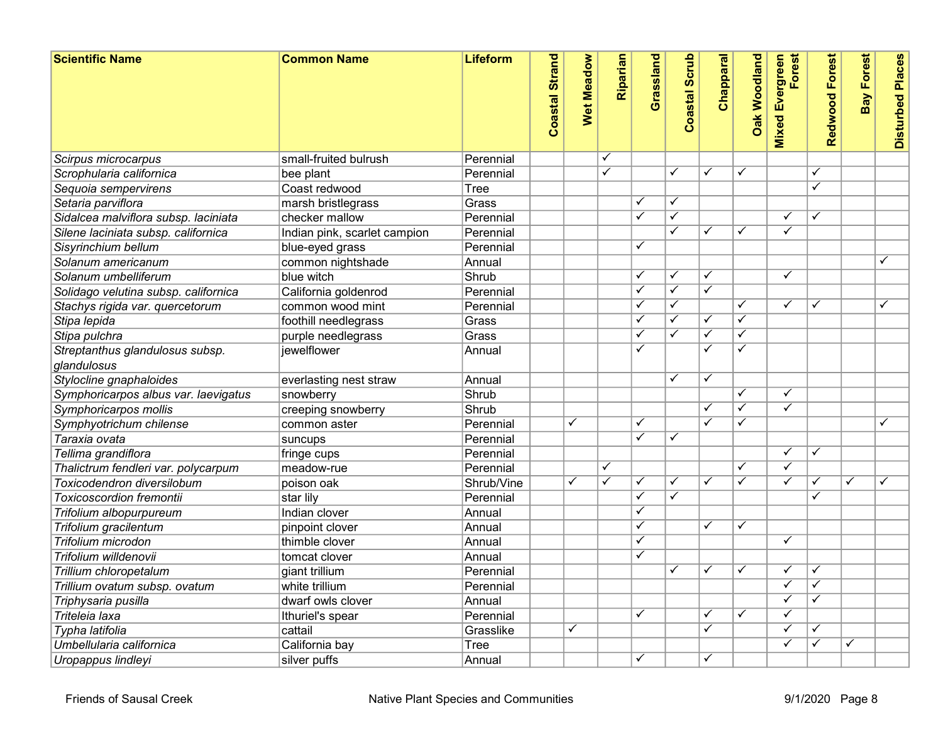| <b>Scientific Name</b>               | <b>Common Name</b>           | <b>Lifeform</b> | <b>Coastal Strand</b> | Wet Meadow              | Riparian                | Grassland               | <b>Coastal Scrub</b>    | Chapparal               | <b>Oak Woodland</b>     | Forest<br>Evergreen<br><b>Mixed</b> | Redwood Forest | <b>Bay Forest</b>       | <b>Disturbed Places</b> |
|--------------------------------------|------------------------------|-----------------|-----------------------|-------------------------|-------------------------|-------------------------|-------------------------|-------------------------|-------------------------|-------------------------------------|----------------|-------------------------|-------------------------|
| Scirpus microcarpus                  | small-fruited bulrush        | Perennial       |                       |                         | $\checkmark$            |                         |                         |                         |                         |                                     |                |                         |                         |
| Scrophularia californica             | bee plant                    | Perennial       |                       |                         | $\overline{\checkmark}$ |                         | ✓                       | $\overline{\checkmark}$ | $\overline{\checkmark}$ |                                     | ✓              |                         |                         |
| Sequoia sempervirens                 | Coast redwood                | Tree            |                       |                         |                         |                         |                         |                         |                         |                                     | ✓              |                         |                         |
| Setaria parviflora                   | marsh bristlegrass           | Grass           |                       |                         |                         | $\checkmark$            | $\checkmark$            |                         |                         |                                     |                |                         |                         |
| Sidalcea malviflora subsp. laciniata | checker mallow               | Perennial       |                       |                         |                         | $\checkmark$            | ✓                       |                         |                         | ✓                                   | ✓              |                         |                         |
| Silene laciniata subsp. californica  | Indian pink, scarlet campion | Perennial       |                       |                         |                         |                         | $\checkmark$            | ✓                       | $\checkmark$            | $\checkmark$                        |                |                         |                         |
| Sisyrinchium bellum                  | blue-eyed grass              | Perennial       |                       |                         |                         | $\checkmark$            |                         |                         |                         |                                     |                |                         |                         |
| Solanum americanum                   | common nightshade            | Annual          |                       |                         |                         |                         |                         |                         |                         |                                     |                |                         | ✓                       |
| Solanum umbelliferum                 | blue witch                   | Shrub           |                       |                         |                         | ✓                       | $\checkmark$            | $\overline{\checkmark}$ |                         | $\overline{\checkmark}$             |                |                         |                         |
| Solidago velutina subsp. californica | California goldenrod         | Perennial       |                       |                         |                         | $\checkmark$            | ✓                       | $\overline{\checkmark}$ |                         |                                     |                |                         |                         |
| Stachys rigida var. quercetorum      | common wood mint             | Perennial       |                       |                         |                         | $\overline{\checkmark}$ | $\overline{\checkmark}$ |                         | $\checkmark$            | $\checkmark$                        | ✓              |                         | $\overline{\checkmark}$ |
| Stipa lepida                         | foothill needlegrass         | Grass           |                       |                         |                         | $\checkmark$            | ✓                       | ✓                       | ✓                       |                                     |                |                         |                         |
| Stipa pulchra                        | purple needlegrass           | Grass           |                       |                         |                         | ✓                       | ✓                       | $\overline{\checkmark}$ | $\overline{\checkmark}$ |                                     |                |                         |                         |
| Streptanthus glandulosus subsp.      | liewelflower                 | Annual          |                       |                         |                         | ✓                       |                         | ✓                       | $\checkmark$            |                                     |                |                         |                         |
| glandulosus                          |                              |                 |                       |                         |                         |                         |                         |                         |                         |                                     |                |                         |                         |
| Stylocline gnaphaloides              | everlasting nest straw       | Annual          |                       |                         |                         |                         | ✓                       | $\overline{\checkmark}$ |                         |                                     |                |                         |                         |
| Symphoricarpos albus var. laevigatus | snowberry                    | Shrub           |                       |                         |                         |                         |                         |                         | $\overline{\checkmark}$ | ✓                                   |                |                         |                         |
| Symphoricarpos mollis                | creeping snowberry           | Shrub           |                       |                         |                         |                         |                         | $\overline{\checkmark}$ | $\overline{\checkmark}$ | $\overline{\checkmark}$             |                |                         |                         |
| Symphyotrichum chilense              | common aster                 | Perennial       |                       | ✓                       |                         | ✓                       |                         | ✓                       | ✓                       |                                     |                |                         | ✓                       |
| Taraxia ovata                        | suncups                      | Perennial       |                       |                         |                         | $\overline{\checkmark}$ | ✓                       |                         |                         |                                     |                |                         |                         |
| Tellima grandiflora                  | fringe cups                  | Perennial       |                       |                         |                         |                         |                         |                         |                         | ✓                                   | ✓              |                         |                         |
| Thalictrum fendleri var. polycarpum  | meadow-rue                   | Perennial       |                       |                         | $\overline{\checkmark}$ |                         |                         |                         | $\overline{\checkmark}$ | ✓                                   |                |                         |                         |
| Toxicodendron diversilobum           | poison oak                   | Shrub/Vine      |                       | $\overline{\checkmark}$ | $\overline{\checkmark}$ | $\checkmark$            | $\checkmark$            | $\overline{\checkmark}$ | $\overline{\checkmark}$ | $\overline{\checkmark}$             | ✓              | $\overline{\checkmark}$ | $\checkmark$            |
| <b>Toxicoscordion fremontii</b>      | star lily                    | Perennial       |                       |                         |                         | $\checkmark$            | $\overline{\checkmark}$ |                         |                         |                                     |                |                         |                         |
| Trifolium albopurpureum              | Indian clover                | Annual          |                       |                         |                         | $\overline{\checkmark}$ |                         |                         |                         |                                     |                |                         |                         |
| Trifolium gracilentum                | pinpoint clover              | Annual          |                       |                         |                         | $\overline{\checkmark}$ |                         | $\checkmark$            | ✓                       |                                     |                |                         |                         |
| Trifolium microdon                   | thimble clover               | Annual          |                       |                         |                         | ✓                       |                         |                         |                         | $\overline{\checkmark}$             |                |                         |                         |
| Trifolium willdenovii                | tomcat clover                | Annual          |                       |                         |                         | ✓                       |                         |                         |                         |                                     |                |                         |                         |
| Trillium chloropetalum               | giant trillium               | Perennial       |                       |                         |                         |                         | ✓                       | ✓                       | ✓                       | ✓                                   | ✓              |                         |                         |
| Trillium ovatum subsp. ovatum        | white trillium               | Perennial       |                       |                         |                         |                         |                         |                         |                         | $\checkmark$                        | ✓              |                         |                         |
| Triphysaria pusilla                  | dwarf owls clover            | Annual          |                       |                         |                         |                         |                         |                         |                         | ✓                                   |                |                         |                         |
| Triteleia laxa                       | Ithuriel's spear             | Perennial       |                       |                         |                         | $\checkmark$            |                         | $\overline{\checkmark}$ | ✓                       | $\checkmark$                        |                |                         |                         |
| Typha latifolia                      | cattail                      | Grasslike       |                       | ✓                       |                         |                         |                         | $\overline{\checkmark}$ |                         | ✓                                   | ✓              |                         |                         |
| Umbellularia californica             | California bay               | <b>Tree</b>     |                       |                         |                         |                         |                         |                         |                         | ✓                                   | ✓              | $\checkmark$            |                         |
| Uropappus lindleyi                   | silver puffs                 | Annual          |                       |                         |                         | ✓                       |                         | $\overline{\checkmark}$ |                         |                                     |                |                         |                         |